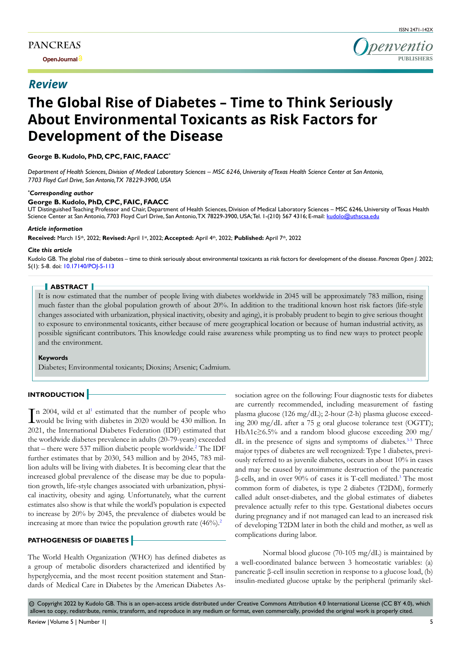**Open Journal**

## *Review*

ISSN 2471-142X

# **The Global Rise of Diabetes – Time to Think Seriously About Environmental Toxicants as Risk Factors for Development of the Disease**

## **George B. Kudolo, PhD, CPC, FAIC, FAACC\***

*Department of Health Sciences, Division of Medical Laboratory Sciences – MSC 6246, University of Texas Health Science Center at San Antonio, 7703 Floyd Curl Drive, San Antonio, TX 78229-3900, USA*

#### *\* Corresponding author*

#### **George B. Kudolo, PhD, CPC, FAIC, FAACC**

UT Distinguished Teaching Professor and Chair, Department of Health Sciences, Division of Medical Laboratory Sciences – MSC 6246, University of Texas Health Science Center at San Antonio, 7703 Floyd Curl Drive, San Antonio, TX 78229-3900, USA; Tel. 1-(210) 567 4316; E-mail: kudolo@uthscsa.edu

#### *Article information*

**Received:** March 15th, 2022; **Revised:** April 1st, 2022; **Accepted:** April 4th, 2022; **Published:** April 7th, 2022

#### *Cite this article*

Kudolo GB. The global rise of diabetes – time to think seriously about environmental toxicants as risk factors for development of the disease. *Pancreas Open J*. 2022; 5(1): 5-8. doi: [10.17140/POJ-5-113](http://dx.doi.org/10.17140/POJ-5-113)

#### **ABSTRACT**

It is now estimated that the number of people living with diabetes worldwide in 2045 will be approximately 783 million, rising much faster than the global population growth of about 20%. In addition to the traditional known host risk factors (life-style changes associated with urbanization, physical inactivity, obesity and aging), it is probably prudent to begin to give serious thought to exposure to environmental toxicants, either because of mere geographical location or because of human industrial activity, as possible significant contributors. This knowledge could raise awareness while prompting us to find new ways to protect people and the environment.

#### **Keywords**

Diabetes; Environmental toxicants; Dioxins; Arsenic; Cadmium.

## **INTRODUCTION**

In 2004, wild et al' estimated that the number of people who would be living with diabetes in 2020 would be 430 million. In n 2004, wild et al<sup>[1](#page-2-0)</sup> estimated that the number of people who 2021, the International Diabetes Federation (IDF) estimated that the worldwide diabetes prevalence in adults (20-79-years) exceeded that  $-$  there were 537 million diabetic people worldwide.<sup>[2](#page-2-1)</sup> The IDF further estimates that by 2030, 543 million and by 2045, 783 million adults will be living with diabetes. It is becoming clear that the increased global prevalence of the disease may be due to population growth, life-style changes associated with urbanization, physical inactivity, obesity and aging. Unfortunately, what the current estimates also show is that while the world's population is expected to increase by 20% by 2045, the prevalence of diabetes would be increasing at more than twice the population growth rate  $(46\%)$ .<sup>[2](#page-2-1)</sup>

## **PATHOGENESIS OF DIABETES**

The World Health Organization (WHO) has defined diabetes as a group of metabolic disorders characterized and identified by hyperglycemia, and the most recent position statement and Standards of Medical Care in Diabetes by the American Diabetes Association agree on the following: Four diagnostic tests for diabetes are currently recommended, including measurement of fasting plasma glucose (126 mg/dL); 2-hour (2-h) plasma glucose exceeding 200 mg/dL after a 75 g oral glucose tolerance test (OGTT); HbA1c≥6.5% and a random blood glucose exceeding 200 mg/ dL in the presence of signs and symptoms of diabetes.<sup>3-5</sup> Three major types of diabetes are well recognized: Type 1 diabetes, previously referred to as juvenile diabetes, occurs in about 10% in cases and may be caused by autoimmune destruction of the pancreatic β-cells, and in over 90% of cases it is T-cell mediated.[3](#page-2-2) The most common form of diabetes, is type 2 diabetes (T2DM), formerly called adult onset-diabetes, and the global estimates of diabetes prevalence actually refer to this type. Gestational diabetes occurs during pregnancy and if not managed can lead to an increased risk of developing T2DM later in both the child and mother, as well as complications during labor.

Normal blood glucose (70-105 mg/dL) is maintained by a well-coordinated balance between 3 homeostatic variables: (a) pancreatic β-cell insulin secretion in response to a glucose load, (b) insulin-mediated glucose uptake by the peripheral (primarily skel-

 $\circledcirc$  Copyright 2022 by Kudolo GB. This is an open-access article distributed under Creative Commons Attribution 4.0 International License (CC BY 4.0), which allows to copy, redistribute, remix, transform, and reproduce in any medium or format, even commercially, provided the original work is properly cited.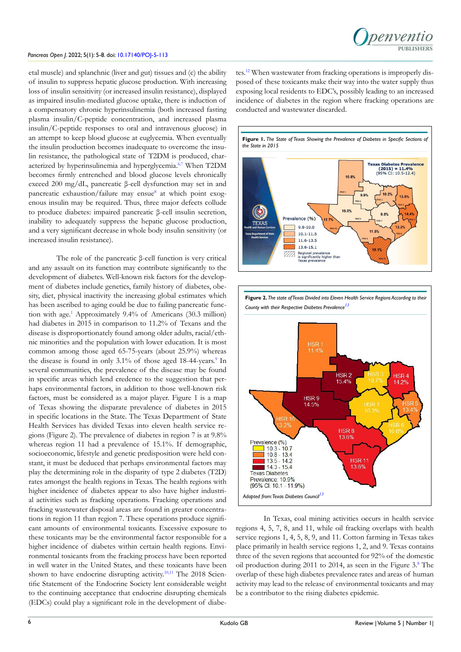#### *Pancreas Open J*. 2022; 5(1): 5-8. doi: [10.17140/POJ-5-113](http://dx.doi.org/10.17140/POJ-5-113)

etal muscle) and splanchnic (liver and gut) tissues and (c) the ability of insulin to suppress hepatic glucose production. With increasing loss of insulin sensitivity (or increased insulin resistance), displayed as impaired insulin-mediated glucose uptake, there is induction of a compensatory chronic hyperinsulinemia (both increased fasting plasma insulin/C-peptide concentration, and increased plasma insulin/C-peptide responses to oral and intravenous glucose) in an attempt to keep blood glucose at euglycemia. When eventually the insulin production becomes inadequate to overcome the insulin resistance, the pathological state of T2DM is produced, char-acterized by hyperinsulinemia and hyperglycemia.<sup>[6,7](#page-3-0)</sup> When T2DM becomes firmly entrenched and blood glucose levels chronically exceed 200 mg/dL, pancreatic β-cell dysfunction may set in and pancreatic exhaustion/failure may ensue<sup>8</sup> at which point exogenous insulin may be required. Thus, three major defects collude to produce diabetes: impaired pancreatic β-cell insulin secretion, inability to adequately suppress the hepatic glucose production, and a very significant decrease in whole body insulin sensitivity (or increased insulin resistance).

The role of the pancreatic β-cell function is very critical and any assault on its function may contribute significantly to the development of diabetes. Well-known risk factors for the development of diabetes include genetics, family history of diabetes, obesity, diet, physical inactivity the increasing global estimates which has been ascribed to aging could be due to failing pancreatic function with age.<sup>1</sup> Approximately 9.4% of Americans (30.3 million) had diabetes in 2015 in comparison to 11.2% of Texans and the disease is disproportionately found among older adults, racial/ethnic minorities and the population with lower education. It is most common among those aged 65-75-years (about 25.9%) whereas the disease is found in only 3.1% of those aged 18-44-years.<sup>[9](#page-3-2)</sup> In several communities, the prevalence of the disease may be found in specific areas which lend credence to the suggestion that perhaps environmental factors, in addition to those well-known risk factors, must be considered as a major player. Figure 1 is a map of Texas showing the disparate prevalence of diabetes in 2015 in specific locations in the State. The Texas Department of State Health Services has divided Texas into eleven health service regions (Figure 2). The prevalence of diabetes in region 7 is at 9.8% whereas region 11 had a prevalence of 15.1%. If demographic, socioeconomic, lifestyle and genetic predisposition were held constant, it must be deduced that perhaps environmental factors may play the determining role in the disparity of type 2 diabetes (T2D) rates amongst the health regions in Texas. The health regions with higher incidence of diabetes appear to also have higher industrial activities such as fracking operations. Fracking operations and fracking wastewater disposal areas are found in greater concentrations in region 11 than region 7. These operations produce significant amounts of environmental toxicants. Excessive exposure to these toxicants may be the environmental factor responsible for a higher incidence of diabetes within certain health regions. Environmental toxicants from the fracking process have been reported in well water in the United States, and these toxicants have been shown to have endocrine disrupting activity.<sup>10,11</sup> The 2018 Scientific Statement of the Endocrine Society lent considerable weight to the continuing acceptance that endocrine disrupting chemicals (EDCs) could play a significant role in the development of diabe-

tes[.12](#page-3-4) When wastewater from fracking operations is improperly disposed of these toxicants make their way into the water supply thus exposing local residents to EDC's, possibly leading to an increased incidence of diabetes in the region where fracking operations are conducted and wastewater discarded.





In Texas, coal mining activities occurs in health service regions 4, 5, 7, 8, and 11, while oil fracking overlaps with health service regions 1, 4, 5, 8, 9, and 11. Cotton farming in Texas takes place primarily in health service regions 1, 2, and 9. Texas contains three of the seven regions that accounted for 92% of the domestic oil production during 2011 to 2014, as seen in the Figure 3[.8](#page-3-1) The overlap of these high diabetes prevalence rates and areas of human activity may lead to the release of environmental toxicants and may be a contributor to the rising diabetes epidemic.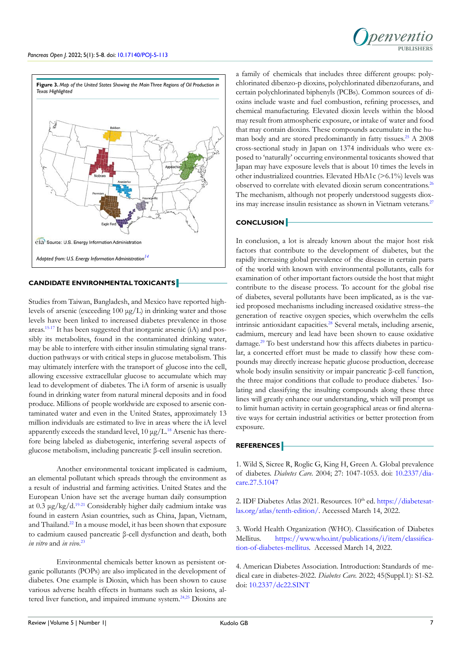



## **CANDIDATE ENVIRONMENTAL TOXICANTS**

Studies from Taiwan, Bangladesh, and Mexico have reported highlevels of arsenic (exceeding 100 μg/L) in drinking water and those levels have been linked to increased diabetes prevalence in those areas[.15-17](#page-3-6) It has been suggested that inorganic arsenic (iA) and possibly its metabolites, found in the contaminated drinking water, may be able to interfere with either insulin stimulating signal transduction pathways or with critical steps in glucose metabolism. This may ultimately interfere with the transport of glucose into the cell, allowing excessive extracellular glucose to accumulate which may lead to development of diabetes. The iA form of arsenic is usually found in drinking water from natural mineral deposits and in food produce. Millions of people worldwide are exposed to arsenic contaminated water and even in the United States, approximately 13 million individuals are estimated to live in areas where the iA level apparently exceeds the standard level,  $10 \mu g/L^{18}$  $10 \mu g/L^{18}$  $10 \mu g/L^{18}$  Arsenic has therefore being labeled as diabetogenic, interfering several aspects of glucose metabolism, including pancreatic β-cell insulin secretion.

Another environmental toxicant implicated is cadmium, an elemental pollutant which spreads through the environment as a result of industrial and farming activities. United States and the European Union have set the average human daily consumption at 0.3 μg/kg/d.[19-21](#page-3-8) Considerably higher daily cadmium intake was found in eastern Asian countries, such as China, Japan, Vietnam, and Thailand.<sup>[22](#page-3-9)</sup> In a mouse model, it has been shown that exposure to cadmium caused pancreatic β-cell dysfunction and death, both *in vitro* and *in vivo*. [23](#page-3-10)

Environmental chemicals better known as persistent organic pollutants (POPs) are also implicated in the development of diabetes. One example is Dioxin, which has been shown to cause various adverse health effects in humans such as skin lesions, al-tered liver function, and impaired immune system.<sup>[24,25](#page-3-11)</sup> Dioxins are a family of chemicals that includes three different groups: polychlorinated dibenzo-p dioxins, polychlorinated dibenzofurans, and certain polychlorinated biphenyls (PCBs). Common sources of dioxins include waste and fuel combustion, refining processes, and chemical manufacturing. Elevated dioxin levels within the blood may result from atmospheric exposure, or intake of water and food that may contain dioxins. These compounds accumulate in the human body and are stored predominantly in fatty tissues.<sup>25</sup> A 2008 cross-sectional study in Japan on 1374 individuals who were exposed to 'naturally' occurring environmental toxicants showed that Japan may have exposure levels that is about 10 times the levels in other industrialized countries. Elevated HbA1c (>6.1%) levels was observed to correlate with elevated dioxin serum concentrations.[26](#page-3-13) The mechanism, although not properly understood suggests diox-ins may increase insulin resistance as shown in Vietnam veterans.<sup>[27](#page-3-14)</sup>

### **CONCLUSION**

In conclusion, a lot is already known about the major host risk factors that contribute to the development of diabetes, but the rapidly increasing global prevalence of the disease in certain parts of the world with known with environmental pollutants, calls for examination of other important factors outside the host that might contribute to the disease process. To account for the global rise of diabetes, several pollutants have been implicated, as is the varied proposed mechanisms including increased oxidative stress–the generation of reactive oxygen species, which overwhelm the cells intrinsic antioxidant capacities.<sup>[28](#page-3-15)</sup> Several metals, including arsenic, cadmium, mercury and lead have been shown to cause oxidative damage[.29](#page-3-16) To best understand how this affects diabetes in particular, a concerted effort must be made to classify how these compounds may directly increase hepatic glucose production, decrease whole body insulin sensitivity or impair pancreatic β-cell function, the three major conditions that collude to produce diabetes.<sup>7</sup> Isolating and classifying the insulting compounds along these three lines will greatly enhance our understanding, which will prompt us to limit human activity in certain geographical areas or find alternative ways for certain industrial activities or better protection from exposure.

## **REFERENCES**

<span id="page-2-0"></span>1. Wild S, Sicree R, Roglic G, King H, Green A. Global prevalence of diabetes. *Diabetes Care.* 2004; 27: 1047-1053. doi: [10.2337/dia](http://doi.org/10.2337/diacare.27.5.1047)[care.27.5.1047](http://doi.org/10.2337/diacare.27.5.1047)

<span id="page-2-1"></span>2. IDF Diabetes Atlas 2021. Resources.  $10^{th}$  ed. [https://diabetesat](https://diabetesatlas.org/atlas/tenth-edition/)[las.org/atlas/tenth-edition/.](https://diabetesatlas.org/atlas/tenth-edition/) Accessed March 14, 2022.

<span id="page-2-2"></span>3. World Health Organization (WHO). Classification of Diabetes Mellitus. [https://www.who.int/publications/i/item/classifica](https://www.who.int/publications/i/item/classification-of-diabetes-mellitus)[tion-of-diabetes-mellitus.](https://www.who.int/publications/i/item/classification-of-diabetes-mellitus) Accessed March 14, 2022.

4. American Diabetes Association. Introduction: Standards of medical care in diabetes-2022. *Diabetes Care.* 2022; 45(Suppl.1): S1-S2. doi: [10.2337/dc22.SINT](http://10.2337/dc22.SINT)